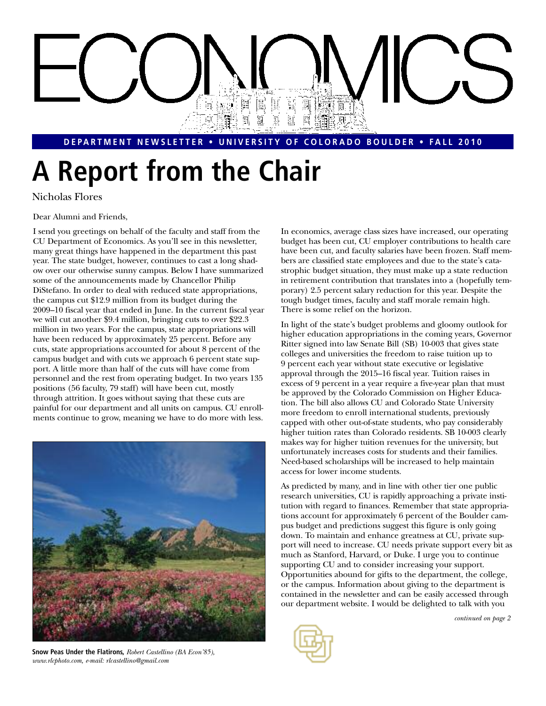# Ħ e, 圓

#### **DEPARTMENT NEWSLETTER • UNIVERSITY OF COLORADO BOULDER • FALL 2010**

# **A Report from the Chair**

Nicholas Flores

Dear Alumni and Friends,

I send you greetings on behalf of the faculty and staff from the CU Department of Economics. As you'll see in this newsletter, many great things have happened in the department this past year. The state budget, however, continues to cast a long shadow over our otherwise sunny campus. Below I have summarized some of the announcements made by Chancellor Philip DiStefano. In order to deal with reduced state appropriations, the campus cut \$12.9 million from its budget during the 2009–10 fiscal year that ended in June. In the current fiscal year we will cut another \$9.4 million, bringing cuts to over \$22.3 million in two years. For the campus, state appropriations will have been reduced by approximately 25 percent. Before any cuts, state appropriations accounted for about 8 percent of the campus budget and with cuts we approach 6 percent state support. A little more than half of the cuts will have come from personnel and the rest from operating budget. In two years 135 positions (56 faculty, 79 staff) will have been cut, mostly through attrition. It goes without saying that these cuts are painful for our department and all units on campus. CU enrollments continue to grow, meaning we have to do more with less.



**Snow Peas Under the Flatirons,** *Robert Castellino (BA Econ'85), www.rlcphoto.com, e-mail: rlcastellino@gmail.com*

In economics, average class sizes have increased, our operating budget has been cut, CU employer contributions to health care have been cut, and faculty salaries have been frozen. Staff members are classified state employees and due to the state's catastrophic budget situation, they must make up a state reduction in retirement contribution that translates into a (hopefully temporary) 2.5 percent salary reduction for this year. Despite the tough budget times, faculty and staff morale remain high. There is some relief on the horizon.

In light of the state's budget problems and gloomy outlook for higher education appropriations in the coming years, Governor Ritter signed into law Senate Bill (SB) 10-003 that gives state colleges and universities the freedom to raise tuition up to 9 percent each year without state executive or legislative approval through the 2015–16 fiscal year. Tuition raises in excess of 9 percent in a year require a five-year plan that must be approved by the Colorado Commission on Higher Education. The bill also allows CU and Colorado State University more freedom to enroll international students, previously capped with other out-of-state students, who pay considerably higher tuition rates than Colorado residents. SB 10-003 clearly makes way for higher tuition revenues for the university, but unfortunately increases costs for students and their families. Need-based scholarships will be increased to help maintain access for lower income students.

As predicted by many, and in line with other tier one public research universities, CU is rapidly approaching a private institution with regard to finances. Remember that state appropriations account for approximately 6 percent of the Boulder campus budget and predictions suggest this figure is only going down. To maintain and enhance greatness at CU, private support will need to increase. CU needs private support every bit as much as Stanford, Harvard, or Duke. I urge you to continue supporting CU and to consider increasing your support. Opportunities abound for gifts to the department, the college, or the campus. Information about giving to the department is contained in the newsletter and can be easily accessed through our department website. I would be delighted to talk with you



*continued on page 2*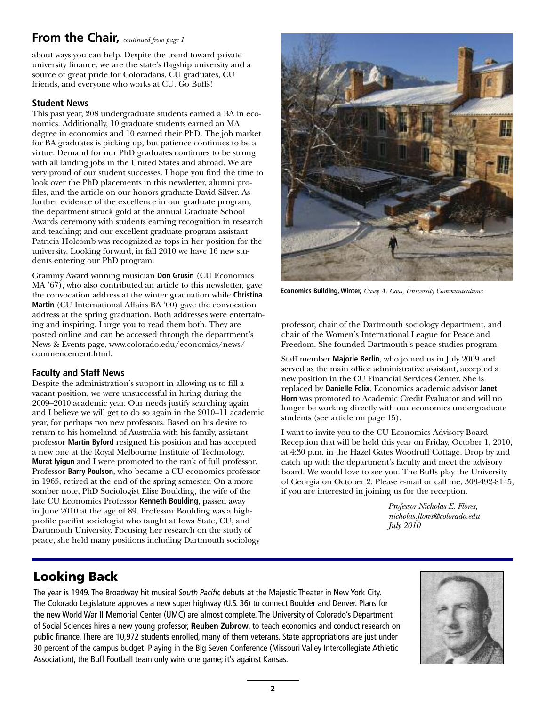### **From the Chair,** *continued from page 1*

about ways you can help. Despite the trend toward private university finance, we are the state's flagship university and a source of great pride for Coloradans, CU graduates, CU friends, and everyone who works at CU. Go Buffs!

#### **Student News**

This past year, 208 undergraduate students earned a BA in economics. Additionally, 10 graduate students earned an MA degree in economics and 10 earned their PhD. The job market for BA graduates is picking up, but patience continues to be a virtue. Demand for our PhD graduates continues to be strong with all landing jobs in the United States and abroad. We are very proud of our student successes. I hope you find the time to look over the PhD placements in this newsletter, alumni profiles, and the article on our honors graduate David Silver. As further evidence of the excellence in our graduate program, the department struck gold at the annual Graduate School Awards ceremony with students earning recognition in research and teaching; and our excellent graduate program assistant Patricia Holcomb was recognized as tops in her position for the university. Looking forward, in fall 2010 we have 16 new students entering our PhD program.

Grammy Award winning musician **Don Grusin** (CU Economics MA '67), who also contributed an article to this newsletter, gave the convocation address at the winter graduation while **Christina Martin** (CU International Affairs BA '00) gave the convocation address at the spring graduation. Both addresses were entertaining and inspiring. I urge you to read them both. They are posted online and can be accessed through the department's News & Events page, www.colorado.edu/economics/news/ commencement.html.

#### **Faculty and Staff News**

Despite the administration's support in allowing us to fill a vacant position, we were unsuccessful in hiring during the 2009–2010 academic year. Our needs justify searching again and I believe we will get to do so again in the 2010–11 academic year, for perhaps two new professors. Based on his desire to return to his homeland of Australia with his family, assistant professor **Martin Byford** resigned his position and has accepted a new one at the Royal Melbourne Institute of Technology. **Murat Iyigun** and I were promoted to the rank of full professor. Professor **Barry Poulson**, who became a CU economics professor in 1965, retired at the end of the spring semester. On a more somber note, PhD Sociologist Elise Boulding, the wife of the late CU Economics Professor **Kenneth Boulding**, passed away in June 2010 at the age of 89. Professor Boulding was a highprofile pacifist sociologist who taught at Iowa State, CU, and Dartmouth University. Focusing her research on the study of peace, she held many positions including Dartmouth sociology



**Economics Building, Winter,** *Casey A. Cass, University Communications*

professor, chair of the Dartmouth sociology department, and chair of the Women's International League for Peace and Freedom. She founded Dartmouth's peace studies program.

Staff member **Majorie Berlin**, who joined us in July 2009 and served as the main office administrative assistant, accepted a new position in the CU Financial Services Center. She is replaced by **Danielle Felix**. Economics academic advisor **Janet Horn** was promoted to Academic Credit Evaluator and will no longer be working directly with our economics undergraduate students (see article on page 15).

I want to invite you to the CU Economics Advisory Board Reception that will be held this year on Friday, October 1, 2010, at 4:30 p.m. in the Hazel Gates Woodruff Cottage. Drop by and catch up with the department's faculty and meet the advisory board. We would love to see you. The Buffs play the University of Georgia on October 2. Please e-mail or call me, 303-492-8145, if you are interested in joining us for the reception.

> *Professor Nicholas E. Flores, nicholas.flores@colorado.edu July 2010*

### **Looking Back**

The year is 1949. The Broadway hit musical *South Pacific* debuts at the Majestic Theater in New York City. The Colorado Legislature approves a new super highway (U.S. 36) to connect Boulder and Denver. Plans for the new World War II Memorial Center (UMC) are almost complete. The University of Colorado's Department of Social Sciences hires a new young professor, **Reuben Zubrow**, to teach economics and conduct research on public finance. There are 10,972 students enrolled, many of them veterans. State appropriations are just under 30 percent of the campus budget. Playing in the Big Seven Conference (Missouri Valley Intercollegiate Athletic Association), the Buff Football team only wins one game; it's against Kansas.

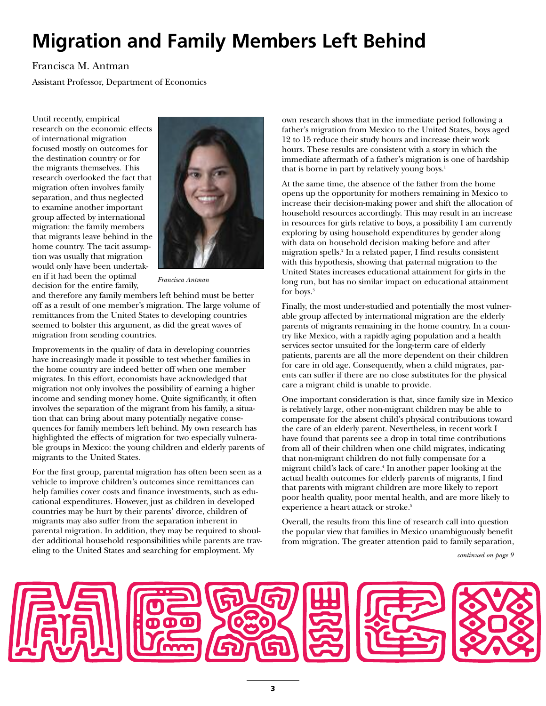# **Migration and Family Members Left Behind**

#### Francisca M. Antman

Assistant Professor, Department of Economics

Until recently, empirical research on the economic effects of international migration focused mostly on outcomes for the destination country or for the migrants themselves. This research overlooked the fact that migration often involves family separation, and thus neglected to examine another important group affected by international migration: the family members that migrants leave behind in the home country. The tacit assumption was usually that migration would only have been undertaken if it had been the optimal decision for the entire family,



*Francisca Antman*

and therefore any family members left behind must be better off as a result of one member's migration. The large volume of remittances from the United States to developing countries seemed to bolster this argument, as did the great waves of migration from sending countries.

Improvements in the quality of data in developing countries have increasingly made it possible to test whether families in the home country are indeed better off when one member migrates. In this effort, economists have acknowledged that migration not only involves the possibility of earning a higher income and sending money home. Quite significantly, it often involves the separation of the migrant from his family, a situation that can bring about many potentially negative consequences for family members left behind. My own research has highlighted the effects of migration for two especially vulnerable groups in Mexico: the young children and elderly parents of migrants to the United States.

For the first group, parental migration has often been seen as a vehicle to improve children's outcomes since remittances can help families cover costs and finance investments, such as educational expenditures. However, just as children in developed countries may be hurt by their parents' divorce, children of migrants may also suffer from the separation inherent in parental migration. In addition, they may be required to shoulder additional household responsibilities while parents are traveling to the United States and searching for employment. My

own research shows that in the immediate period following a father's migration from Mexico to the United States, boys aged 12 to 15 reduce their study hours and increase their work hours. These results are consistent with a story in which the immediate aftermath of a father's migration is one of hardship that is borne in part by relatively young boys.<sup>1</sup>

At the same time, the absence of the father from the home opens up the opportunity for mothers remaining in Mexico to increase their decision-making power and shift the allocation of household resources accordingly. This may result in an increase in resources for girls relative to boys, a possibility I am currently exploring by using household expenditures by gender along with data on household decision making before and after migration spells.2 In a related paper, I find results consistent with this hypothesis, showing that paternal migration to the United States increases educational attainment for girls in the long run, but has no similar impact on educational attainment for boys.<sup>3</sup>

Finally, the most under-studied and potentially the most vulnerable group affected by international migration are the elderly parents of migrants remaining in the home country. In a country like Mexico, with a rapidly aging population and a health services sector unsuited for the long-term care of elderly patients, parents are all the more dependent on their children for care in old age. Consequently, when a child migrates, parents can suffer if there are no close substitutes for the physical care a migrant child is unable to provide.

One important consideration is that, since family size in Mexico is relatively large, other non-migrant children may be able to compensate for the absent child's physical contributions toward the care of an elderly parent. Nevertheless, in recent work I have found that parents see a drop in total time contributions from all of their children when one child migrates, indicating that non-migrant children do not fully compensate for a migrant child's lack of care.4 In another paper looking at the actual health outcomes for elderly parents of migrants, I find that parents with migrant children are more likely to report poor health quality, poor mental health, and are more likely to experience a heart attack or stroke.<sup>5</sup>

Overall, the results from this line of research call into question the popular view that families in Mexico unambiguously benefit from migration. The greater attention paid to family separation,

*continued on page 9*

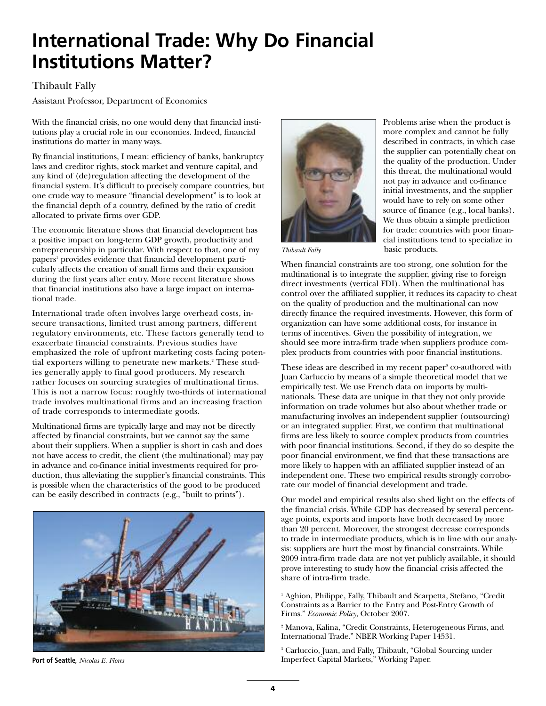### **International Trade: Why Do Financial Institutions Matter?**

#### Thibault Fally

Assistant Professor, Department of Economics

With the financial crisis, no one would deny that financial institutions play a crucial role in our economies. Indeed, financial institutions do matter in many ways.

By financial institutions, I mean: efficiency of banks, bankruptcy laws and creditor rights, stock market and venture capital, and any kind of (de)regulation affecting the development of the financial system. It's difficult to precisely compare countries, but one crude way to measure "financial development" is to look at the financial depth of a country, defined by the ratio of credit allocated to private firms over GDP.

The economic literature shows that financial development has a positive impact on long-term GDP growth, productivity and entrepreneurship in particular. With respect to that, one of my papers<sup>1</sup> provides evidence that financial development particularly affects the creation of small firms and their expansion during the first years after entry. More recent literature shows that financial institutions also have a large impact on international trade.

International trade often involves large overhead costs, insecure transactions, limited trust among partners, different regulatory environments, etc. These factors generally tend to exacerbate financial constraints. Previous studies have emphasized the role of upfront marketing costs facing potential exporters willing to penetrate new markets.<sup>2</sup> These studies generally apply to final good producers. My research rather focuses on sourcing strategies of multinational firms. This is not a narrow focus: roughly two-thirds of international trade involves multinational firms and an increasing fraction of trade corresponds to intermediate goods.

Multinational firms are typically large and may not be directly affected by financial constraints, but we cannot say the same about their suppliers. When a supplier is short in cash and does not have access to credit, the client (the multinational) may pay in advance and co-finance initial investments required for production, thus alleviating the supplier's financial constraints. This is possible when the characteristics of the good to be produced can be easily described in contracts (e.g., "built to prints").



**Port of Seattle,** *Nicolas E. Flores*



Problems arise when the product is more complex and cannot be fully described in contracts, in which case the supplier can potentially cheat on the quality of the production. Under this threat, the multinational would not pay in advance and co-finance initial investments, and the supplier would have to rely on some other source of finance (e.g., local banks). We thus obtain a simple prediction for trade: countries with poor financial institutions tend to specialize in basic products.

*Thibault Fally*

When financial constraints are too strong, one solution for the multinational is to integrate the supplier, giving rise to foreign direct investments (vertical FDI). When the multinational has control over the affiliated supplier, it reduces its capacity to cheat on the quality of production and the multinational can now directly finance the required investments. However, this form of organization can have some additional costs, for instance in terms of incentives. Given the possibility of integration, we should see more intra-firm trade when suppliers produce complex products from countries with poor financial institutions.

These ideas are described in my recent paper<sup>3</sup> co-authored with Juan Carluccio by means of a simple theoretical model that we empirically test. We use French data on imports by multinationals. These data are unique in that they not only provide information on trade volumes but also about whether trade or manufacturing involves an independent supplier (outsourcing) or an integrated supplier. First, we confirm that multinational firms are less likely to source complex products from countries with poor financial institutions. Second, if they do so despite the poor financial environment, we find that these transactions are more likely to happen with an affiliated supplier instead of an independent one. These two empirical results strongly corroborate our model of financial development and trade.

Our model and empirical results also shed light on the effects of the financial crisis. While GDP has decreased by several percentage points, exports and imports have both decreased by more than 20 percent. Moreover, the strongest decrease corresponds to trade in intermediate products, which is in line with our analysis: suppliers are hurt the most by financial constraints. While 2009 intra-firm trade data are not yet publicly available, it should prove interesting to study how the financial crisis affected the share of intra-firm trade.

<sup>1</sup> Aghion, Philippe, Fally, Thibault and Scarpetta, Stefano, "Credit Constraints as a Barrier to the Entry and Post-Entry Growth of Firms." *Economic Policy*, October 2007.

<sup>2</sup> Manova, Kalina, "Credit Constraints, Heterogeneous Firms, and International Trade." NBER Working Paper 14531.

<sup>3</sup> Carluccio, Juan, and Fally, Thibault, "Global Sourcing under Imperfect Capital Markets," Working Paper.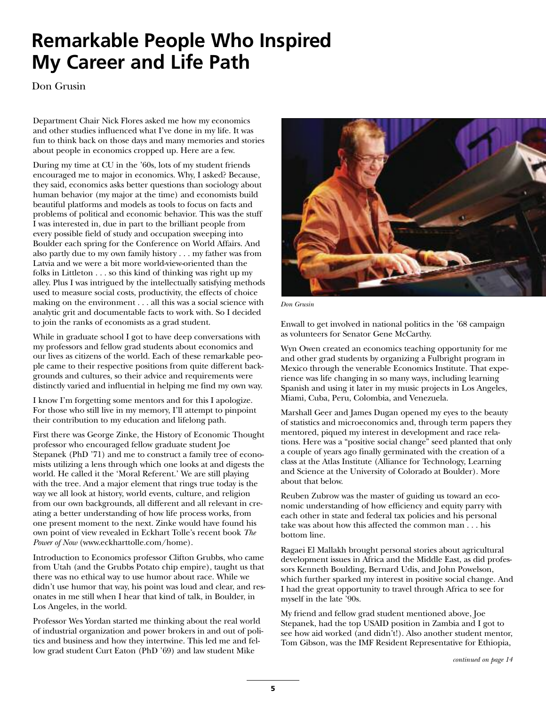### **Remarkable People Who Inspired My Career and Life Path**

Don Grusin

Department Chair Nick Flores asked me how my economics and other studies influenced what I've done in my life. It was fun to think back on those days and many memories and stories about people in economics cropped up. Here are a few.

During my time at CU in the '60s, lots of my student friends encouraged me to major in economics. Why, I asked? Because, they said, economics asks better questions than sociology about human behavior (my major at the time) and economists build beautiful platforms and models as tools to focus on facts and problems of political and economic behavior. This was the stuff I was interested in, due in part to the brilliant people from every possible field of study and occupation sweeping into Boulder each spring for the Conference on World Affairs. And also partly due to my own family history . . . my father was from Latvia and we were a bit more world-view-oriented than the folks in Littleton . . . so this kind of thinking was right up my alley. Plus I was intrigued by the intellectually satisfying methods used to measure social costs, productivity, the effects of choice making on the environment . . . all this was a social science with analytic grit and documentable facts to work with. So I decided to join the ranks of economists as a grad student.

While in graduate school I got to have deep conversations with my professors and fellow grad students about economics and our lives as citizens of the world. Each of these remarkable people came to their respective positions from quite different backgrounds and cultures, so their advice and requirements were distinctly varied and influential in helping me find my own way.

I know I'm forgetting some mentors and for this I apologize. For those who still live in my memory, I'll attempt to pinpoint their contribution to my education and lifelong path.

First there was George Zinke, the History of Economic Thought professor who encouraged fellow graduate student Joe Stepanek (PhD '71) and me to construct a family tree of economists utilizing a lens through which one looks at and digests the world. He called it the 'Moral Referent.' We are still playing with the tree. And a major element that rings true today is the way we all look at history, world events, culture, and religion from our own backgrounds, all different and all relevant in creating a better understanding of how life process works, from one present moment to the next. Zinke would have found his own point of view revealed in Eckhart Tolle's recent book *The Power of Now* (www.eckharttolle.com/home).

Introduction to Economics professor Clifton Grubbs, who came from Utah (and the Grubbs Potato chip empire), taught us that there was no ethical way to use humor about race. While we didn't use humor that way, his point was loud and clear, and resonates in me still when I hear that kind of talk, in Boulder, in Los Angeles, in the world.

Professor Wes Yordan started me thinking about the real world of industrial organization and power brokers in and out of politics and business and how they intertwine. This led me and fellow grad student Curt Eaton (PhD '69) and law student Mike



*Don Grusin*

Enwall to get involved in national politics in the '68 campaign as volunteers for Senator Gene McCarthy.

Wyn Owen created an economics teaching opportunity for me and other grad students by organizing a Fulbright program in Mexico through the venerable Economics Institute. That experience was life changing in so many ways, including learning Spanish and using it later in my music projects in Los Angeles, Miami, Cuba, Peru, Colombia, and Venezuela.

Marshall Geer and James Dugan opened my eyes to the beauty of statistics and microeconomics and, through term papers they mentored, piqued my interest in development and race relations. Here was a "positive social change" seed planted that only a couple of years ago finally germinated with the creation of a class at the Atlas Institute (Alliance for Technology, Learning and Science at the University of Colorado at Boulder). More about that below.

Reuben Zubrow was the master of guiding us toward an economic understanding of how efficiency and equity parry with each other in state and federal tax policies and his personal take was about how this affected the common man . . . his bottom line.

Ragaei El Mallakh brought personal stories about agricultural development issues in Africa and the Middle East, as did professors Kenneth Boulding, Bernard Udis, and John Powelson, which further sparked my interest in positive social change. And I had the great opportunity to travel through Africa to see for myself in the late '90s.

My friend and fellow grad student mentioned above, Joe Stepanek, had the top USAID position in Zambia and I got to see how aid worked (and didn't!). Also another student mentor, Tom Gibson, was the IMF Resident Representative for Ethiopia,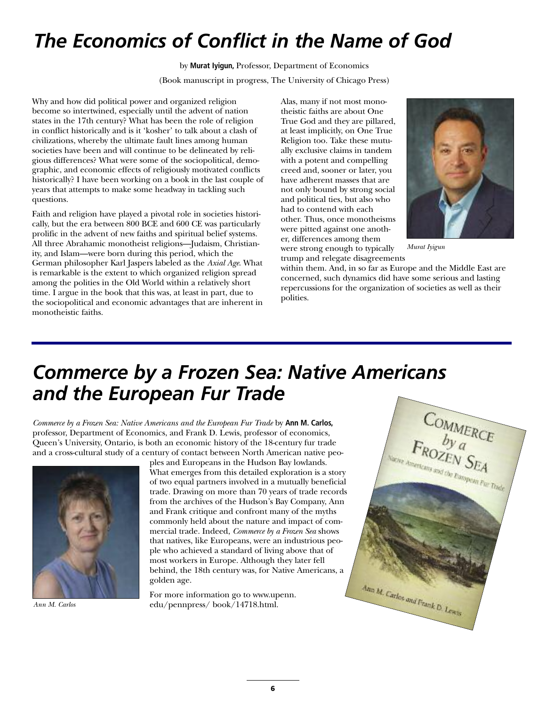## *The Economics of Conflict in the Name of God*

by **Murat Iyigun,** Professor, Department of Economics (Book manuscript in progress, The University of Chicago Press)

Why and how did political power and organized religion become so intertwined, especially until the advent of nation states in the 17th century? What has been the role of religion in conflict historically and is it 'kosher' to talk about a clash of civilizations, whereby the ultimate fault lines among human societies have been and will continue to be delineated by religious differences? What were some of the sociopolitical, demographic, and economic effects of religiously motivated conflicts historically? I have been working on a book in the last couple of years that attempts to make some headway in tackling such questions.

Faith and religion have played a pivotal role in societies historically, but the era between 800 BCE and 600 CE was particularly prolific in the advent of new faiths and spiritual belief systems. All three Abrahamic monotheist religions—Judaism, Christianity, and Islam—were born during this period, which the German philosopher Karl Jaspers labeled as the *Axial Age*. What is remarkable is the extent to which organized religion spread among the polities in the Old World within a relatively short time. I argue in the book that this was, at least in part, due to the sociopolitical and economic advantages that are inherent in monotheistic faiths.

Alas, many if not most monotheistic faiths are about One True God and they are pillared, at least implicitly, on One True Religion too. Take these mutually exclusive claims in tandem with a potent and compelling creed and, sooner or later, you have adherent masses that are not only bound by strong social and political ties, but also who had to contend with each other. Thus, once monotheisms were pitted against one another, differences among them were strong enough to typically trump and relegate disagreements



*Murat Iyigun*

within them. And, in so far as Europe and the Middle East are concerned, such dynamics did have some serious and lasting repercussions for the organization of societies as well as their polities.

### *Commerce by a Frozen Sea: Native Americans and the European Fur Trade*

*Commerce by a Frozen Sea: Native Americans and the European Fur Trade* by **Ann M. Carlos,** professor, Department of Economics, and Frank D. Lewis, professor of economics, Queen's University, Ontario, is both an economic history of the 18-century fur trade and a cross-cultural study of a century of contact between North American native peo-



ples and Europeans in the Hudson Bay lowlands. What emerges from this detailed exploration is a story of two equal partners involved in a mutually beneficial trade. Drawing on more than 70 years of trade records from the archives of the Hudson's Bay Company, Ann and Frank critique and confront many of the myths commonly held about the nature and impact of commercial trade. Indeed, *Commerce by a Frozen Sea* shows that natives, like Europeans, were an industrious people who achieved a standard of living above that of most workers in Europe. Although they later fell behind, the 18th century was, for Native Americans, a golden age.

For more information go to www.upenn. *Ann M. Carlos* edu/pennpress/ book/14718.html.

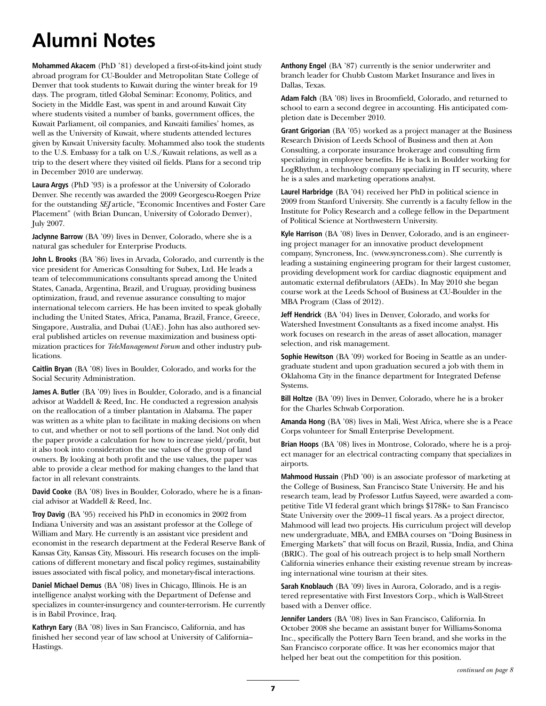# **Alumni Notes**

**Mohammed Akacem** (PhD '81) developed a first-of-its-kind joint study abroad program for CU-Boulder and Metropolitan State College of Denver that took students to Kuwait during the winter break for 19 days. The program, titled Global Seminar: Economy, Politics, and Society in the Middle East, was spent in and around Kuwait City where students visited a number of banks, government offices, the Kuwait Parliament, oil companies, and Kuwaiti families' homes, as well as the University of Kuwait, where students attended lectures given by Kuwait University faculty. Mohammed also took the students to the U.S. Embassy for a talk on U.S./Kuwait relations, as well as a trip to the desert where they visited oil fields. Plans for a second trip in December 2010 are underway.

**Laura Argys** (PhD '93) is a professor at the University of Colorado Denver. She recently was awarded the 2009 Georgescu-Roegen Prize for the outstanding *SEJ* article, "Economic Incentives and Foster Care Placement" (with Brian Duncan, University of Colorado Denver), July 2007.

**Jaclynne Barrow** (BA '09) lives in Denver, Colorado, where she is a natural gas scheduler for Enterprise Products.

**John L. Brooks** (BA '86) lives in Arvada, Colorado, and currently is the vice president for Americas Consulting for Subex, Ltd. He leads a team of telecommunications consultants spread among the United States, Canada, Argentina, Brazil, and Uruguay, providing business optimization, fraud, and revenue assurance consulting to major international telecom carriers. He has been invited to speak globally including the United States, Africa, Panama, Brazil, France, Greece, Singapore, Australia, and Dubai (UAE). John has also authored several published articles on revenue maximization and business optimization practices for *TeleManagement Forum* and other industry publications.

**Caitlin Bryan** (BA '08) lives in Boulder, Colorado, and works for the Social Security Administration.

**James A. Butler** (BA '09) lives in Boulder, Colorado, and is a financial advisor at Waddell & Reed, Inc. He conducted a regression analysis on the reallocation of a timber plantation in Alabama. The paper was written as a white plan to facilitate in making decisions on when to cut, and whether or not to sell portions of the land. Not only did the paper provide a calculation for how to increase yield/profit, but it also took into consideration the use values of the group of land owners. By looking at both profit and the use values, the paper was able to provide a clear method for making changes to the land that factor in all relevant constraints.

**David Cooke** (BA '08) lives in Boulder, Colorado, where he is a financial advisor at Waddell & Reed, Inc.

**Troy Davig** (BA '95) received his PhD in economics in 2002 from Indiana University and was an assistant professor at the College of William and Mary. He currently is an assistant vice president and economist in the research department at the Federal Reserve Bank of Kansas City, Kansas City, Missouri. His research focuses on the implications of different monetary and fiscal policy regimes, sustainability issues associated with fiscal policy, and monetary-fiscal interactions.

**Daniel Michael Demus** (BA '08) lives in Chicago, Illinois. He is an intelligence analyst working with the Department of Defense and specializes in counter-insurgency and counter-terrorism. He currently is in Babil Province, Iraq.

**Kathryn Eary** (BA '08) lives in San Francisco, California, and has finished her second year of law school at University of California– Hastings.

**Anthony Engel** (BA '87) currently is the senior underwriter and branch leader for Chubb Custom Market Insurance and lives in Dallas, Texas.

**Adam Falch** (BA '08) lives in Broomfield, Colorado, and returned to school to earn a second degree in accounting. His anticipated completion date is December 2010.

**Grant Grigorian** (BA '05) worked as a project manager at the Business Research Division of Leeds School of Business and then at Aon Consulting, a corporate insurance brokerage and consulting firm specializing in employee benefits. He is back in Boulder working for LogRhythm, a technology company specializing in IT security, where he is a sales and marketing operations analyst.

**Laurel Harbridge** (BA '04) received her PhD in political science in 2009 from Stanford University. She currently is a faculty fellow in the Institute for Policy Research and a college fellow in the Department of Political Science at Northwestern University.

**Kyle Harrison** (BA '08) lives in Denver, Colorado, and is an engineering project manager for an innovative product development company, Syncroness, Inc. (www.syncroness.com). She currently is leading a sustaining engineering program for their largest customer, providing development work for cardiac diagnostic equipment and automatic external defibrulators (AEDs). In May 2010 she began course work at the Leeds School of Business at CU-Boulder in the MBA Program (Class of 2012).

**Jeff Hendrick** (BA '04) lives in Denver, Colorado, and works for Watershed Investment Consultants as a fixed income analyst. His work focuses on research in the areas of asset allocation, manager selection, and risk management.

**Sophie Hewitson** (BA '09) worked for Boeing in Seattle as an undergraduate student and upon graduation secured a job with them in Oklahoma City in the finance department for Integrated Defense Systems.

**Bill Holtze** (BA '09) lives in Denver, Colorado, where he is a broker for the Charles Schwab Corporation.

**Amanda Hong** (BA '08) lives in Mali, West Africa, where she is a Peace Corps volunteer for Small Enterprise Development.

**Brian Hoops** (BA '08) lives in Montrose, Colorado, where he is a project manager for an electrical contracting company that specializes in airports.

**Mahmood Hussain** (PhD '00) is an associate professor of marketing at the College of Business, San Francisco State University. He and his research team, lead by Professor Lutfus Sayeed, were awarded a competitive Title VI federal grant which brings \$178K+ to San Francisco State University over the 2009–11 fiscal years. As a project director, Mahmood will lead two projects. His curriculum project will develop new undergraduate, MBA, and EMBA courses on "Doing Business in Emerging Markets" that will focus on Brazil, Russia, India, and China (BRIC). The goal of his outreach project is to help small Northern California wineries enhance their existing revenue stream by increasing international wine tourism at their sites.

**Sarah Knoblauch** (BA '09) lives in Aurora, Colorado, and is a registered representative with First Investors Corp., which is Wall-Street based with a Denver office.

**Jennifer Landers** (BA '08) lives in San Francisco, California. In October 2008 she became an assistant buyer for Williams-Sonoma Inc., specifically the Pottery Barn Teen brand, and she works in the San Francisco corporate office. It was her economics major that helped her beat out the competition for this position.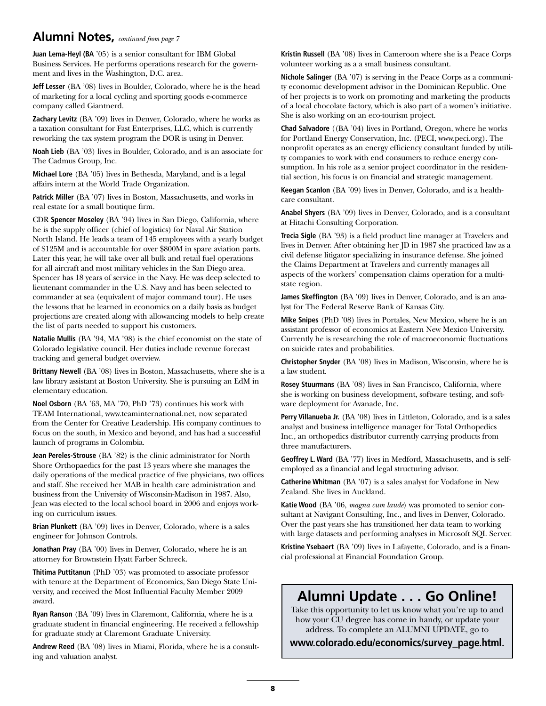#### **Alumni Notes,** *continued from page 7*

**Juan Lema-Heyl (BA** '05) is a senior consultant for IBM Global Business Services. He performs operations research for the government and lives in the Washington, D.C. area.

**Jeff Lesser** (BA '08) lives in Boulder, Colorado, where he is the head of marketing for a local cycling and sporting goods e-commerce company called Giantnerd.

**Zachary Levitz** (BA '09) lives in Denver, Colorado, where he works as a taxation consultant for Fast Enterprises, LLC, which is currently reworking the tax system program the DOR is using in Denver.

**Noah Lieb** (BA '03) lives in Boulder, Colorado, and is an associate for The Cadmus Group, Inc.

**Michael Lore** (BA '05) lives in Bethesda, Maryland, and is a legal affairs intern at the World Trade Organization.

Patrick Miller (BA '07) lives in Boston, Massachusetts, and works in real estate for a small boutique firm.

CDR **Spencer Moseley** (BA '94) lives in San Diego, California, where he is the supply officer (chief of logistics) for Naval Air Station North Island. He leads a team of 145 employees with a yearly budget of \$125M and is accountable for over \$800M in spare aviation parts. Later this year, he will take over all bulk and retail fuel operations for all aircraft and most military vehicles in the San Diego area. Spencer has 18 years of service in the Navy. He was deep selected to lieutenant commander in the U.S. Navy and has been selected to commander at sea (equivalent of major command tour). He uses the lessons that he learned in economics on a daily basis as budget projections are created along with allowancing models to help create the list of parts needed to support his customers.

**Natalie Mullis** (BA '94, MA '98) is the chief economist on the state of Colorado legislative council. Her duties include revenue forecast tracking and general budget overview.

**Brittany Newell** (BA '08) lives in Boston, Massachusetts, where she is a law library assistant at Boston University. She is pursuing an EdM in elementary education.

**Noel Osborn** (BA '63, MA '70, PhD '73) continues his work with TEAM International, www.teaminternational.net, now separated from the Center for Creative Leadership. His company continues to focus on the south, in Mexico and beyond, and has had a successful launch of programs in Colombia.

**Jean Pereles-Strouse** (BA '82) is the clinic administrator for North Shore Orthopaedics for the past 13 years where she manages the daily operations of the medical practice of five physicians, two offices and staff. She received her MAB in health care administration and business from the University of Wisconsin-Madison in 1987. Also, Jean was elected to the local school board in 2006 and enjoys working on curriculum issues.

**Brian Plunkett** (BA '09) lives in Denver, Colorado, where is a sales engineer for Johnson Controls.

**Jonathan Pray** (BA '00) lives in Denver, Colorado, where he is an attorney for Brownstein Hyatt Farber Schreck.

**Thitima Puttitanun** (PhD '03) was promoted to associate professor with tenure at the Department of Economics, San Diego State University, and received the Most Influential Faculty Member 2009 award.

**Ryan Ranson** (BA '09) lives in Claremont, California, where he is a graduate student in financial engineering. He received a fellowship for graduate study at Claremont Graduate University.

**Andrew Reed** (BA '08) lives in Miami, Florida, where he is a consulting and valuation analyst.

**Kristin Russell** (BA '08) lives in Cameroon where she is a Peace Corps volunteer working as a a small business consultant.

**Nichole Salinger** (BA '07) is serving in the Peace Corps as a community economic development advisor in the Dominican Republic. One of her projects is to work on promoting and marketing the products of a local chocolate factory, which is also part of a women's initiative. She is also working on an eco-tourism project.

**Chad Salvadore** ((BA '04) lives in Portland, Oregon, where he works for Portland Energy Conservation, Inc. (PECI, www.peci.org). The nonprofit operates as an energy efficiency consultant funded by utility companies to work with end consumers to reduce energy consumption. In his role as a senior project coordinator in the residential section, his focus is on financial and strategic management.

**Keegan Scanlon** (BA '09) lives in Denver, Colorado, and is a healthcare consultant.

**Anabel Shyers** (BA '09) lives in Denver, Colorado, and is a consultant at Hitachi Consulting Corporation.

**Trecia Sigle** (BA '93) is a field product line manager at Travelers and lives in Denver. After obtaining her JD in 1987 she practiced law as a civil defense litigator specializing in insurance defense. She joined the Claims Department at Travelers and currently manages all aspects of the workers' compensation claims operation for a multistate region.

**James Skeffington** (BA '09) lives in Denver, Colorado, and is an analyst for The Federal Reserve Bank of Kansas City.

**Mike Snipes** (PhD '08) lives in Portales, New Mexico, where he is an assistant professor of economics at Eastern New Mexico University. Currently he is researching the role of macroeconomic fluctuations on suicide rates and probabilities.

**Christopher Snyder** (BA '08) lives in Madison, Wisconsin, where he is a law student.

**Rosey Stuurmans** (BA '08) lives in San Francisco, California, where she is working on business development, software testing, and software deployment for Avanade, Inc.

Perry Villanueba Jr. (BA '08) lives in Littleton, Colorado, and is a sales analyst and business intelligence manager for Total Orthopedics Inc., an orthopedics distributor currently carrying products from three manufacturers.

**Geoffrey L. Ward** (BA '77) lives in Medford, Massachusetts, and is selfemployed as a financial and legal structuring advisor.

**Catherine Whitman** (BA '07) is a sales analyst for Vodafone in New Zealand. She lives in Auckland.

**Katie Wood** (BA '06, *magna cum laude*) was promoted to senior consultant at Navigant Consulting, Inc., and lives in Denver, Colorado. Over the past years she has transitioned her data team to working with large datasets and performing analyses in Microsoft SQL Server.

**Kristine Ysebaert** (BA '09) lives in Lafayette, Colorado, and is a financial professional at Financial Foundation Group.

### **Alumni Update . . . Go Online!**

Take this opportunity to let us know what you're up to and how your CU degree has come in handy, or update your address. To complete an ALUMNI UPDATE, go to

**www.colorado.edu/economics/survey\_page.html.**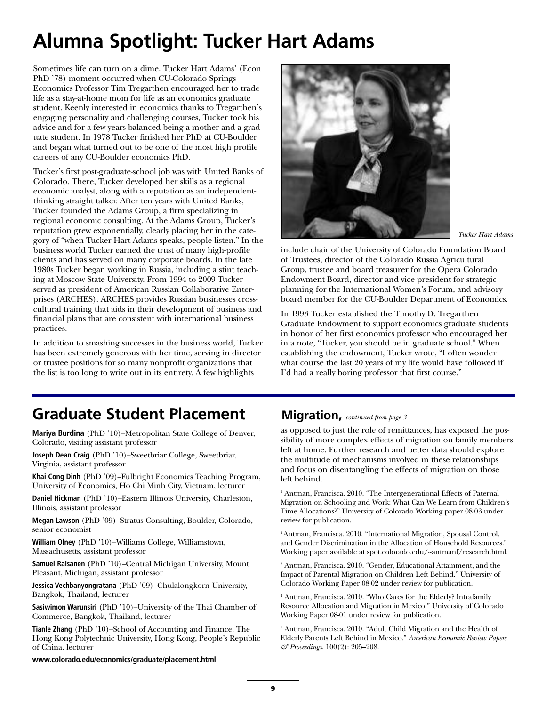# **Alumna Spotlight: Tucker Hart Adams**

Sometimes life can turn on a dime. Tucker Hart Adams' (Econ PhD '78) moment occurred when CU-Colorado Springs Economics Professor Tim Tregarthen encouraged her to trade life as a stay-at-home mom for life as an economics graduate student. Keenly interested in economics thanks to Tregarthen's engaging personality and challenging courses, Tucker took his advice and for a few years balanced being a mother and a graduate student. In 1978 Tucker finished her PhD at CU-Boulder and began what turned out to be one of the most high profile careers of any CU-Boulder economics PhD.

Tucker's first post-graduate-school job was with United Banks of Colorado. There, Tucker developed her skills as a regional economic analyst, along with a reputation as an independentthinking straight talker. After ten years with United Banks, Tucker founded the Adams Group, a firm specializing in regional economic consulting. At the Adams Group, Tucker's reputation grew exponentially, clearly placing her in the category of "when Tucker Hart Adams speaks, people listen." In the business world Tucker earned the trust of many high-profile clients and has served on many corporate boards. In the late 1980s Tucker began working in Russia, including a stint teaching at Moscow State University. From 1994 to 2009 Tucker served as president of American Russian Collaborative Enterprises (ARCHES). ARCHES provides Russian businesses crosscultural training that aids in their development of business and financial plans that are consistent with international business practices.

In addition to smashing successes in the business world, Tucker has been extremely generous with her time, serving in director or trustee positions for so many nonprofit organizations that the list is too long to write out in its entirety. A few highlights



*Tucker Hart Adams*

include chair of the University of Colorado Foundation Board of Trustees, director of the Colorado Russia Agricultural Group, trustee and board treasurer for the Opera Colorado Endowment Board, director and vice president for strategic planning for the International Women's Forum, and advisory board member for the CU-Boulder Department of Economics.

In 1993 Tucker established the Timothy D. Tregarthen Graduate Endowment to support economics graduate students in honor of her first economics professor who encouraged her in a note, "Tucker, you should be in graduate school." When establishing the endowment, Tucker wrote, "I often wonder what course the last 20 years of my life would have followed if I'd had a really boring professor that first course."

### **Graduate Student Placement**

**Mariya Burdina** (PhD '10)–Metropolitan State College of Denver, Colorado, visiting assistant professor

**Joseph Dean Craig** (PhD '10)–Sweetbriar College, Sweetbriar, Virginia, assistant professor

**Khai Cong Dinh** (PhD '09)–Fulbright Economics Teaching Program, University of Economics, Ho Chi Minh City, Vietnam, lecturer

**Daniel Hickman** (PhD '10)–Eastern Illinois University, Charleston, Illinois, assistant professor

**Megan Lawson** (PhD '09)–Stratus Consulting, Boulder, Colorado, senior economist

**William Olney** (PhD '10)–Williams College, Williamstown, Massachusetts, assistant professor

**Samuel Raisanen** (PhD '10)–Central Michigan University, Mount Pleasant, Michigan, assistant professor

**Jessica Vechbanyongratana** (PhD '09)–Chulalongkorn University, Bangkok, Thailand, lecturer

**Sasiwimon Warunsiri** (PhD '10)–University of the Thai Chamber of Commerce, Bangkok, Thailand, lecturer

**Tianle Zhang** (PhD '10)–School of Accounting and Finance, The Hong Kong Polytechnic University, Hong Kong, People's Republic of China, lecturer

**www.colorado.edu/economics/graduate/placement.html**

#### **Migration,** *continued from page 3*

as opposed to just the role of remittances, has exposed the possibility of more complex effects of migration on family members left at home. Further research and better data should explore the multitude of mechanisms involved in these relationships and focus on disentangling the effects of migration on those left behind.

<sup>1</sup> Antman, Francisca. 2010. "The Intergenerational Effects of Paternal Migration on Schooling and Work: What Can We Learn from Children's Time Allocations?" University of Colorado Working paper 08-03 under review for publication.

<sup>2</sup> Antman, Francisca. 2010. "International Migration, Spousal Control, and Gender Discrimination in the Allocation of Household Resources." Working paper available at spot.colorado.edu/~antmanf/research.html.

<sup>3</sup> Antman, Francisca. 2010. "Gender, Educational Attainment, and the Impact of Parental Migration on Children Left Behind." University of Colorado Working Paper 08-02 under review for publication.

<sup>4</sup> Antman, Francisca. 2010. "Who Cares for the Elderly? Intrafamily Resource Allocation and Migration in Mexico." University of Colorado Working Paper 08-01 under review for publication.

<sup>5</sup> Antman, Francisca. 2010. "Adult Child Migration and the Health of Elderly Parents Left Behind in Mexico." *American Economic Review Papers & Proceedings*, 100(2): 205–208.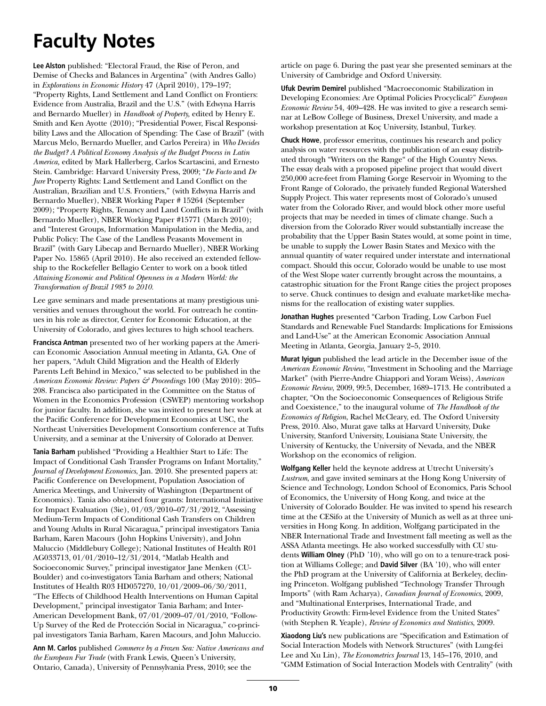# **Faculty Notes**

**Lee Alston** published: "Electoral Fraud, the Rise of Peron, and Demise of Checks and Balances in Argentina" (with Andres Gallo) in *Explorations in Economic History* 47 (April 2010), 179–197; "Property Rights, Land Settlement and Land Conflict on Frontiers: Evidence from Australia, Brazil and the U.S." (with Edwyna Harris and Bernardo Mueller) in *Handbook of Property,* edited by Henry E. Smith and Ken Ayotte (2010); "Presidential Power, Fiscal Responsibility Laws and the Allocation of Spending: The Case of Brazil" (with Marcus Melo, Bernardo Mueller, and Carlos Pereira) in *Who Decides the Budget? A Political Economy Analysis of the Budget Process in Latin America,* edited by Mark Hallerberg, Carlos Scartascini, and Ernesto Stein. Cambridge: Harvard University Press, 2009; "*De Facto* and *De Jure* Property Rights: Land Settlement and Land Conflict on the Australian, Brazilian and U.S. Frontiers," (with Edwyna Harris and Bernardo Mueller), NBER Working Paper # 15264 (September 2009); "Property Rights, Tenancy and Land Conflicts in Brazil" (with Bernardo Mueller), NBER Working Paper #15771 (March 2010); and "Interest Groups, Information Manipulation in the Media, and Public Policy: The Case of the Landless Peasants Movement in Brazil" (with Gary Libecap and Bernardo Mueller), NBER Working Paper No. 15865 (April 2010). He also received an extended fellowship to the Rockefeller Bellagio Center to work on a book titled *Attaining Economic and Political Openness in a Modern World: the Transformation of Brazil 1985 to 2010.*

Lee gave seminars and made presentations at many prestigious universities and venues throughout the world. For outreach he continues in his role as director, Center for Economic Education, at the University of Colorado, and gives lectures to high school teachers.

**Francisca Antman** presented two of her working papers at the American Economic Association Annual meeting in Atlanta, GA. One of her papers, "Adult Child Migration and the Health of Elderly Parents Left Behind in Mexico," was selected to be published in the *American Economic Review: Papers & Proceedings* 100 (May 2010): 205– 208. Francisca also participated in the Committee on the Status of Women in the Economics Profession (CSWEP) mentoring workshop for junior faculty. In addition, she was invited to present her work at the Pacific Conference for Development Economics at USC, the Northeast Universities Development Consortium conference at Tufts University, and a seminar at the University of Colorado at Denver.

**Tania Barham** published "Providing a Healthier Start to Life: The Impact of Conditional Cash Transfer Programs on Infant Mortality," *Journal of Development Economics*, Jan. 2010. She presented papers at: Pacific Conference on Development, Population Association of America Meetings, and University of Washington (Department of Economics). Tania also obtained four grants: International Initiative for Impact Evaluation (3ie), 01/03/2010–07/31/2012, "Assessing Medium-Term Impacts of Conditional Cash Transfers on Children and Young Adults in Rural Nicaragua," principal investigators Tania Barham, Karen Macours (John Hopkins University), and John Maluccio (Middlebury College); National Institutes of Health R01 AG033713, 01/01/2010–12/31/2014, "Matlab Health and Socioeconomic Survey," principal investigator Jane Menken (CU-Boulder) and co-investigators Tania Barham and others; National Institutes of Health R03 HD057270, 10/01/2009–06/30/2011, "The Effects of Childhood Health Interventions on Human Capital Development," principal investigator Tania Barham; and Inter-American Development Bank, 07/01/2009–07/01/2010, "Follow-Up Survey of the Red de Protección Social in Nicaragua," co-principal investigators Tania Barham, Karen Macours, and John Maluccio.

**Ann M. Carlos** published *Commerce by a Frozen Sea: Native Americans and the European Fur Trade* (with Frank Lewis, Queen's University, Ontario, Canada), University of Pennsylvania Press, 2010; see the

article on page 6. During the past year she presented seminars at the University of Cambridge and Oxford University.

**Ufuk Devrim Demirel** published "Macroeconomic Stabilization in Developing Economies: Are Optimal Policies Procyclical?" *European Economic Review* 54, 409–428. He was invited to give a research seminar at LeBow College of Business, Drexel University, and made a workshop presentation at Koç University, Istanbul, Turkey.

**Chuck Howe**, professor emeritus, continues his research and policy analysis on water resources with the publication of an essay distributed through "Writers on the Range" of the High Country News. The essay deals with a proposed pipeline project that would divert 250,000 acre-feet from Flaming Gorge Reservoir in Wyoming to the Front Range of Colorado, the privately funded Regional Watershed Supply Project. This water represents most of Colorado's unused water from the Colorado River, and would block other more useful projects that may be needed in times of climate change. Such a diversion from the Colorado River would substantially increase the probability that the Upper Basin States would, at some point in time, be unable to supply the Lower Basin States and Mexico with the annual quantity of water required under interstate and international compact. Should this occur, Colorado would be unable to use most of the West Slope water currently brought across the mountains, a catastrophic situation for the Front Range cities the project proposes to serve. Chuck continues to design and evaluate market-like mechanisms for the reallocation of existing water supplies.

**Jonathan Hughes** presented "Carbon Trading, Low Carbon Fuel Standards and Renewable Fuel Standards: Implications for Emissions and Land-Use" at the American Economic Association Annual Meeting in Atlanta, Georgia, January 2–5, 2010.

**Murat Iyigun** published the lead article in the December issue of the *American Economic Review*, "Investment in Schooling and the Marriage Market" (with Pierre-Andre Chiappori and Yoram Weiss), *American Economic Review*, 2009, 99:5, December, 1689–1713. He contributed a chapter, "On the Socioeconomic Consequences of Religious Strife and Coexistence," to the inaugural volume of *The Handbook of the Economics of Religion*, Rachel McCleary, ed. The Oxford University Press, 2010. Also, Murat gave talks at Harvard University, Duke University, Stanford University, Louisiana State University, the University of Kentucky, the University of Nevada, and the NBER Workshop on the economics of religion.

**Wolfgang Keller** held the keynote address at Utrecht University's *Lustrum*, and gave invited seminars at the Hong Kong University of Science and Technology, London School of Economics, Paris School of Economics, the University of Hong Kong, and twice at the University of Colorado Boulder. He was invited to spend his research time at the CESifo at the University of Munich as well as at three universities in Hong Kong. In addition, Wolfgang participated in the NBER International Trade and Investment fall meeting as well as the ASSA Atlanta meetings. He also worked successfully with CU students **William Olney** (PhD '10), who will go on to a tenure-track position at Williams College; and **David Silver** (BA '10), who will enter the PhD program at the University of California at Berkeley, declining Princeton. Wolfgang published "Technology Transfer Through Imports" (with Ram Acharya), *Canadian Journal of Economics*, 2009, and "Multinational Enterprises, International Trade, and Productivity Growth: Firm-level Evidence from the United States" (with Stephen R. Yeaple), *Review of Economics and Statistics*, 2009.

**Xiaodong Liu's** new publications are "Specification and Estimation of Social Interaction Models with Network Structures" (with Lung-fei Lee and Xu Lin), *The Econometrics Journal* 13, 145–176, 2010, and "GMM Estimation of Social Interaction Models with Centrality" (with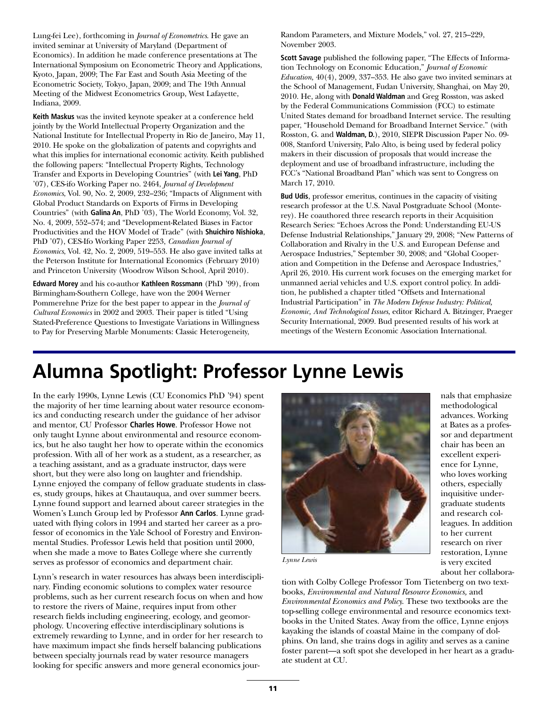Lung-fei Lee), forthcoming in *Journal of Econometrics*. He gave an invited seminar at University of Maryland (Department of Economics). In addition he made conference presentations at The International Symposium on Econometric Theory and Applications, Kyoto, Japan, 2009; The Far East and South Asia Meeting of the Econometric Society, Tokyo, Japan, 2009; and The 19th Annual Meeting of the Midwest Econometrics Group, West Lafayette, Indiana, 2009.

**Keith Maskus** was the invited keynote speaker at a conference held jointly by the World Intellectual Property Organization and the National Institute for Intellectual Property in Rio de Janeiro, May 11, 2010. He spoke on the globalization of patents and copyrights and what this implies for international economic activity. Keith published the following papers: "Intellectual Property Rights, Technology Transfer and Exports in Developing Countries" (with **Lei Yang**, PhD '07), CES-ifo Working Paper no. 2464, *Journal of Development Economics*, Vol. 90, No. 2, 2009, 232–236; "Impacts of Alignment with Global Product Standards on Exports of Firms in Developing Countries" (with **Galina An**, PhD '03), The World Economy, Vol. 32, No. 4, 2009, 552–574; and "Development-Related Biases in Factor Productivities and the HOV Model of Trade" (with **Shuichiro Nishioka**, PhD '07), CES-Ifo Working Paper 2253, *Canadian Journal of Economics*, Vol. 42, No. 2, 2009, 519–553. He also gave invited talks at the Peterson Institute for International Economics (February 2010) and Princeton University (Woodrow Wilson School, April 2010).

**Edward Morey** and his co-author **Kathleen Rossmann** (PhD '99), from Birmingham-Southern College, have won the 2004 Werner Pommerehne Prize for the best paper to appear in the *Journal of Cultural Economics* in 2002 and 2003. Their paper is titled "Using Stated-Preference Questions to Investigate Variations in Willingness to Pay for Preserving Marble Monuments: Classic Heterogeneity,

Random Parameters, and Mixture Models," vol. 27, 215–229, November 2003.

**Scott Savage** published the following paper, "The Effects of Information Technology on Economic Education," *Journal of Economic Education,* 40(4), 2009, 337–353. He also gave two invited seminars at the School of Management, Fudan University, Shanghai, on May 20, 2010. He, along with **Donald Waldman** and Greg Rosston, was asked by the Federal Communications Commission (FCC) to estimate United States demand for broadband Internet service. The resulting paper, "Household Demand for Broadband Internet Service." (with Rosston, G. and **Waldman, D.**), 2010, SIEPR Discussion Paper No. 09- 008, Stanford University, Palo Alto, is being used by federal policy makers in their discussion of proposals that would increase the deployment and use of broadband infrastructure, including the FCC's "National Broadband Plan" which was sent to Congress on March 17, 2010.

**Bud Udis**, professor emeritus, continues in the capacity of visiting research professor at the U.S. Naval Postgraduate School (Monterey). He coauthored three research reports in their Acquisition Research Series: "Echoes Across the Pond: Understanding EU-US Defense Industrial Relationships," January 29, 2008; "New Patterns of Collaboration and Rivalry in the U.S. and European Defense and Aerospace Industries," September 30, 2008; and "Global Cooperation and Competition in the Defense and Aerospace Industries," April 26, 2010. His current work focuses on the emerging market for unmanned aerial vehicles and U.S. export control policy. In addition, he published a chapter titled "Offsets and International Industrial Participation" in *The Modern Defense Industry: Political, Economic, And Technological Issues*, editor Richard A. Bitzinger, Praeger Security International, 2009. Bud presented results of his work at meetings of the Western Economic Association International.

### **Alumna Spotlight: Professor Lynne Lewis**

In the early 1990s, Lynne Lewis (CU Economics PhD '94) spent the majority of her time learning about water resource economics and conducting research under the guidance of her advisor and mentor, CU Professor **Charles Howe**. Professor Howe not only taught Lynne about environmental and resource economics, but he also taught her how to operate within the economics profession. With all of her work as a student, as a researcher, as a teaching assistant, and as a graduate instructor, days were short, but they were also long on laughter and friendship. Lynne enjoyed the company of fellow graduate students in classes, study groups, hikes at Chautauqua, and over summer beers. Lynne found support and learned about career strategies in the Women's Lunch Group led by Professor **Ann Carlos**. Lynne graduated with flying colors in 1994 and started her career as a professor of economics in the Yale School of Forestry and Environmental Studies. Professor Lewis held that position until 2000, when she made a move to Bates College where she currently serves as professor of economics and department chair.

Lynn's research in water resources has always been interdisciplinary. Finding economic solutions to complex water resource problems, such as her current research focus on when and how to restore the rivers of Maine, requires input from other research fields including engineering, ecology, and geomorphology. Uncovering effective interdisciplinary solutions is extremely rewarding to Lynne, and in order for her research to have maximum impact she finds herself balancing publications between specialty journals read by water resource managers looking for specific answers and more general economics jour-



nals that emphasize methodological advances. Working at Bates as a professor and department chair has been an excellent experience for Lynne, who loves working others, especially inquisitive undergraduate students and research colleagues. In addition to her current research on river restoration, Lynne is very excited about her collabora-

*Lynne Lewis*

tion with Colby College Professor Tom Tietenberg on two textbooks, *Environmental and Natural Resource Economics,* and *Environmental Economics and Policy*. These two textbooks are the top-selling college environmental and resource economics textbooks in the United States. Away from the office, Lynne enjoys kayaking the islands of coastal Maine in the company of dolphins. On land, she trains dogs in agility and serves as a canine foster parent—a soft spot she developed in her heart as a graduate student at CU.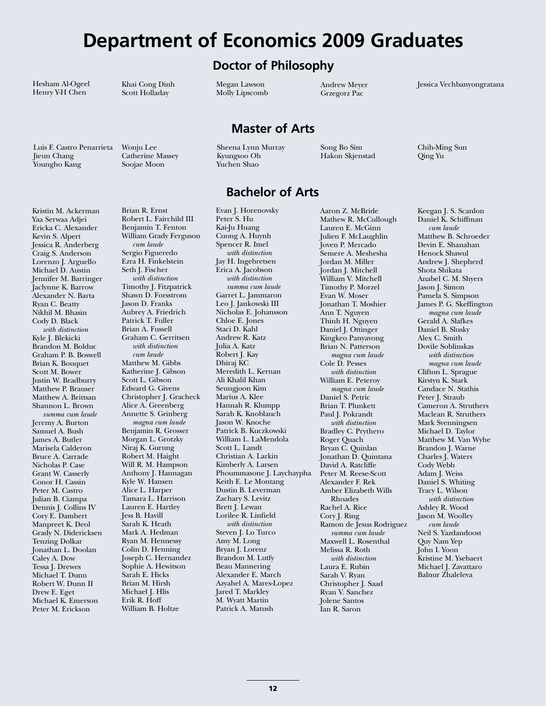### **Department of Economics 2009 Graduates**

**Doctor of Philosophy**

**Master of Arts**

**Bachelor of Arts**

Hesham Al-Ogeel Henry Y-H Chen

Khai Cong Dinh Scott Holladay

Luis F. Castro Penarrieta Jieun Chang Youngho Kang

Kristin M. Ackerman

Wonju Lee Catherine Massey Soojae Moon

Sheena Lynn Murray Kyungsoo Oh Yuchen Shao

Evan J. Horenovsky

Megan Lawson Molly Lipscomb

Andrew Meyer Grzegorz Pac

Song Bo Sim Hakon Skjenstad

Aaron Z. McBride

Chih-Ming Sun Qing Yu

Jessica Vechbanyongratana

Yaa Serwaa Adjei Ericka C. Alexander Kevin S. Alpert Jessica R. Anderberg Craig S. Anderson Lorenzo J. Arguello Michael D. Austin Jennifer M. Barringer Jaclynne K. Barrow Alexander N. Barta Ryan C. Beatty Nikhil M. Bhasin Cody D. Black *with distinction* Kyle J. Blekicki Brandon M. Bolduc Graham P. B. Boswell Brian K. Bouquet Scott M. Bower Justin W. Bradburry Matthew P. Brauser Matthew A. Brittsan Shannon L. Brown *summa cum laude* Jeremy A. Burton Samuel A. Bush James A. Butler Marisela Calderon Bruce A. Carrade Nicholas P. Case Grant W. Casserly Conor H. Cassin Peter M. Castro Julian B. Ciampa Dennis J. Collins IV Cory E. Dambert Manpreet K. Deol Grady N. Didericksen Tenzing Dolkar Jonathan L. Doolan Caley A. Dow Tessa J. Drewes Michael T. Dunn Robert W. Dunn II Drew E. Eget Michael K. Emerson Peter M. Erickson

Brian R. Ernst Robert L. Fairchild III Benjamin T. Fenton William Grady Ferguson *cum laude* Sergio Figueredo Ezra H. Finkelstein Seth J. Fischer *with distinction* Timothy J. Fitzpatrick Shawn D. Forsstrom Jason D. Franks Aubrey A. Friedrich Patrick T. Fuller Brian A. Fussell Graham C. Gerritsen *with distinction cum laude* Matthew M. Gibbs Katherine J. Gibson Scott L. Gibson Edward G. Givens Christopher J. Gracheck Alice A. Greenberg Annette S. Grinberg *magna cum laude* Benjamin R. Grosser Morgan L. Grotzky Niraj K. Gurung Robert M. Haight Will R. M. Hampson Anthony J. Hannagan Kyle W. Hansen Alice L. Harper Tamara L. Harrison Lauren E. Hartley Jess B. Havill Sarah K. Heath Mark A. Hedman Ryan M. Hennessy Colin D. Henning Joseph C. Hernandez Sophie A. Hewitson Sarah E. Hicks Brian M. Hirsh Michael J. Hlis Erik R. Hoff William B. Holtze

Peter S. Hu Kai-Ju Huang Cuong A. Huynh Spencer R. Imel *with distinction* Jay H. Ingebretsen Erica A. Jacobson *with distinction summa cum laude* Garret L. Jammaron Leo J. Jankowski III Nicholas E. Johansson Chloe E. Jones Staci D. Kahl Andrew R. Katz Julia A. Katz Robert J. Kay Dhiraj KC Meredith L. Kernan Ali Khalil Khan Seungjoon Kim Marius A. Klee Hannah R. Klumpp Sarah K. Knoblauch Jason W. Knoche Patrick B. Kuczkowski William L. LaMendola Scott L. Landt Christian A. Larkin Kimberly A. Larsen Phoummasone J. Laychaypha Keith E. Le Montang Dustin B. Leverman Zachary S. Levitz Brett J. Lewan Lorilee R. Linfield *with distinction* Steven J. Lo Turco Amy M. Long Bryan J. Lorenz Brandon M. Lutfy Beau Mannering Alexander E. March Azyahel A. Mares-Lopez Jared T. Markley M. Wyatt Martin Patrick A. Matush

Mathew R. McCullough Lauren E. McGinn Julien F. McLaughlin Joven P. Mercado Semere A. Meshesha Jordan M. Miller Jordan J. Mitchell William V. Mitchell Timothy P. Morzel Evan W. Moser Jonathan T. Moshier Ann T. Nguyen Thinh H. Nguyen Daniel J. Ottinger Kingkeo Panyavong Brian N. Patterson *magna cum laude* Cole D. Pesses *with distinction* William E. Peteroy *magna cum laude* Daniel S. Petric Brian T. Plunkett Paul J. Pokrandt *with distinction* Bradley C. Prythero Roger Quach Bryan C. Quinlan Jonathan D. Quintana David A. Ratcliffe Peter M. Reese-Scott Alexander F. Rek Amber Elizabeth Wills Rhoades Rachel A. Rice Cory J. Ring Ramon de Jesus Rodriguez *summa cum laude* Maxwell L. Rosenthal Melissa R. Roth *with distinction* Laura E. Rubin Sarah V. Ryan Christopher J. Saad Ryan V. Sanchez Jolene Santos Ian R. Saron

Keegan J. S. Scanlon Daniel K. Schiffman *cum laude* Matthew B. Schroeder Devin E. Shanahan Henock Shawul Andrew J. Shepherd Shota Shikata Anabel C. M. Shyers Jason J. Simon Pamela S. Simpson James P. G. Skeffington *magna cum laude* Gerald A. Slafkes Daniel B. Slusky Alex C. Smith Dovile Soblinskas *with distinction magna cum laude* Clifton L. Sprague Kirstyn K. Stark Candace N. Stathis Peter J. Straub Cameron A. Struthers Maclean R. Struthers Mark Svenningsen Michael D. Taylor Matthew M. Van Wyhe Brandon J. Warne Charles J. Waters Cody Webb Adam J. Weiss Daniel S. Whiting Tracy L. Wilson *with distinction* Ashley R. Wood Jason M. Woolley *cum laude* Neil S. Yazdandoost Quy Nam Yep John I. Yoon Kristine M. Ysebaert Michael J. Zavattaro Balnur Zhaleleva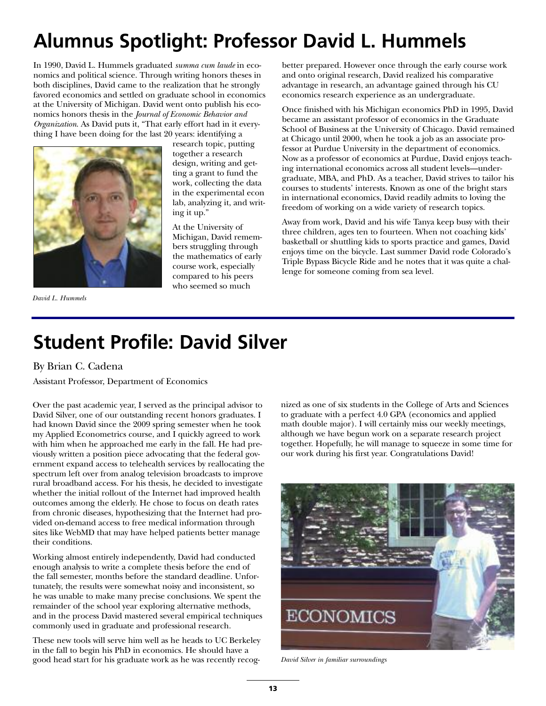# **Alumnus Spotlight: Professor David L. Hummels**

In 1990, David L. Hummels graduated *summa cum laude* in economics and political science. Through writing honors theses in both disciplines, David came to the realization that he strongly favored economics and settled on graduate school in economics at the University of Michigan. David went onto publish his economics honors thesis in the *Journal of Economic Behavior and Organization*. As David puts it, "That early effort had in it everything I have been doing for the last 20 years: identifying a



*David L. Hummels*

research topic, putting together a research design, writing and getting a grant to fund the work, collecting the data in the experimental econ lab, analyzing it, and writing it up."

At the University of Michigan, David remembers struggling through the mathematics of early course work, especially compared to his peers who seemed so much

better prepared. However once through the early course work and onto original research, David realized his comparative advantage in research, an advantage gained through his CU economics research experience as an undergraduate.

Once finished with his Michigan economics PhD in 1995, David became an assistant professor of economics in the Graduate School of Business at the University of Chicago. David remained at Chicago until 2000, when he took a job as an associate professor at Purdue University in the department of economics. Now as a professor of economics at Purdue, David enjoys teaching international economics across all student levels—undergraduate, MBA, and PhD. As a teacher, David strives to tailor his courses to students' interests. Known as one of the bright stars in international economics, David readily admits to loving the freedom of working on a wide variety of research topics.

Away from work, David and his wife Tanya keep busy with their three children, ages ten to fourteen. When not coaching kids' basketball or shuttling kids to sports practice and games, David enjoys time on the bicycle. Last summer David rode Colorado's Triple Bypass Bicycle Ride and he notes that it was quite a challenge for someone coming from sea level.

## **Student Profile: David Silver**

#### By Brian C. Cadena

Assistant Professor, Department of Economics

Over the past academic year, I served as the principal advisor to David Silver, one of our outstanding recent honors graduates. I had known David since the 2009 spring semester when he took my Applied Econometrics course, and I quickly agreed to work with him when he approached me early in the fall. He had previously written a position piece advocating that the federal government expand access to telehealth services by reallocating the spectrum left over from analog television broadcasts to improve rural broadband access. For his thesis, he decided to investigate whether the initial rollout of the Internet had improved health outcomes among the elderly. He chose to focus on death rates from chronic diseases, hypothesizing that the Internet had provided on-demand access to free medical information through sites like WebMD that may have helped patients better manage their conditions.

Working almost entirely independently, David had conducted enough analysis to write a complete thesis before the end of the fall semester, months before the standard deadline. Unfortunately, the results were somewhat noisy and inconsistent, so he was unable to make many precise conclusions. We spent the remainder of the school year exploring alternative methods, and in the process David mastered several empirical techniques commonly used in graduate and professional research.

These new tools will serve him well as he heads to UC Berkeley in the fall to begin his PhD in economics. He should have a good head start for his graduate work as he was recently recognized as one of six students in the College of Arts and Sciences to graduate with a perfect 4.0 GPA (economics and applied math double major). I will certainly miss our weekly meetings, although we have begun work on a separate research project together. Hopefully, he will manage to squeeze in some time for our work during his first year. Congratulations David!



*David Silver in familiar surroundings*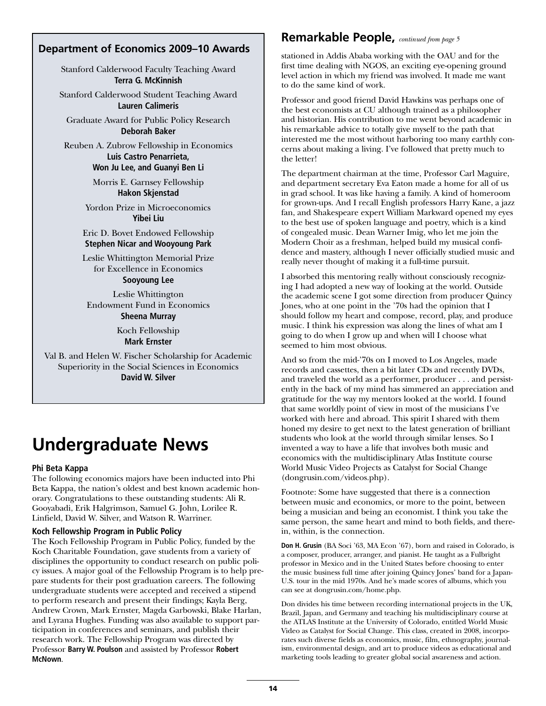#### **Department of Economics 2009–10 Awards**

Stanford Calderwood Faculty Teaching Award **Terra G. McKinnish**

Stanford Calderwood Student Teaching Award **Lauren Calimeris**

Graduate Award for Public Policy Research **Deborah Baker**

Reuben A. Zubrow Fellowship in Economics **Luis Castro Penarrieta, Won Ju Lee, and Guanyi Ben Li**

> Morris E. Garnsey Fellowship **Hakon Skjenstad**

Yordon Prize in Microeconomics **Yibei Liu**

Eric D. Bovet Endowed Fellowship **Stephen Nicar and Wooyoung Park**

Leslie Whittington Memorial Prize for Excellence in Economics **Sooyoung Lee**

Leslie Whittington Endowment Fund in Economics **Sheena Murray**

> Koch Fellowship **Mark Ernster**

Val B. and Helen W. Fischer Scholarship for Academic Superiority in the Social Sciences in Economics **David W. Silver**

### **Undergraduate News**

#### **Phi Beta Kappa**

The following economics majors have been inducted into Phi Beta Kappa, the nation's oldest and best known academic honorary. Congratulations to these outstanding students: Ali R. Gooyabadi, Erik Halgrimson, Samuel G. John, Lorilee R. Linfield, David W. Silver, and Watson R. Warriner.

#### **Koch Fellowship Program in Public Policy**

The Koch Fellowship Program in Public Policy, funded by the Koch Charitable Foundation, gave students from a variety of disciplines the opportunity to conduct research on public policy issues. A major goal of the Fellowship Program is to help prepare students for their post graduation careers. The following undergraduate students were accepted and received a stipend to perform research and present their findings; Kayla Berg, Andrew Crown, Mark Ernster, Magda Garbowski, Blake Harlan, and Lyrana Hughes. Funding was also available to support participation in conferences and seminars, and publish their research work. The Fellowship Program was directed by Professor **Barry W. Poulson** and assisted by Professor **Robert McNown**.

#### **Remarkable People,** *continued from page 5*

stationed in Addis Ababa working with the OAU and for the first time dealing with NGOS, an exciting eye-opening ground level action in which my friend was involved. It made me want to do the same kind of work.

Professor and good friend David Hawkins was perhaps one of the best economists at CU although trained as a philosopher and historian. His contribution to me went beyond academic in his remarkable advice to totally give myself to the path that interested me the most without harboring too many earthly concerns about making a living. I've followed that pretty much to the letter!

The department chairman at the time, Professor Carl Maguire, and department secretary Eva Eaton made a home for all of us in grad school. It was like having a family. A kind of homeroom for grown-ups. And I recall English professors Harry Kane, a jazz fan, and Shakespeare expert William Markward opened my eyes to the best use of spoken language and poetry, which is a kind of congealed music. Dean Warner Imig, who let me join the Modern Choir as a freshman, helped build my musical confidence and mastery, although I never officially studied music and really never thought of making it a full-time pursuit.

I absorbed this mentoring really without consciously recognizing I had adopted a new way of looking at the world. Outside the academic scene I got some direction from producer Quincy Jones, who at one point in the '70s had the opinion that I should follow my heart and compose, record, play, and produce music. I think his expression was along the lines of what am I going to do when I grow up and when will I choose what seemed to him most obvious.

And so from the mid-'70s on I moved to Los Angeles, made records and cassettes, then a bit later CDs and recently DVDs, and traveled the world as a performer, producer . . . and persistently in the back of my mind has simmered an appreciation and gratitude for the way my mentors looked at the world. I found that same worldly point of view in most of the musicians I've worked with here and abroad. This spirit I shared with them honed my desire to get next to the latest generation of brilliant students who look at the world through similar lenses. So I invented a way to have a life that involves both music and economics with the multidisciplinary Atlas Institute course World Music Video Projects as Catalyst for Social Change (dongrusin.com/videos.php).

Footnote: Some have suggested that there is a connection between music and economics, or more to the point, between being a musician and being an economist. I think you take the same person, the same heart and mind to both fields, and therein, within, is the connection.

**Don H. Grusin** (BA Soci '63, MA Econ '67), born and raised in Colorado, is a composer, producer, arranger, and pianist. He taught as a Fulbright professor in Mexico and in the United States before choosing to enter the music business full time after joining Quincy Jones' band for a Japan-U.S. tour in the mid 1970s. And he's made scores of albums, which you can see at dongrusin.com/home.php.

Don divides his time between recording international projects in the UK, Brazil, Japan, and Germany and teaching his multidisciplinary course at the ATLAS Institute at the University of Colorado, entitled World Music Video as Catalyst for Social Change. This class, created in 2008, incorporates such diverse fields as economics, music, film, ethnography, journalism, environmental design, and art to produce videos as educational and marketing tools leading to greater global social awareness and action.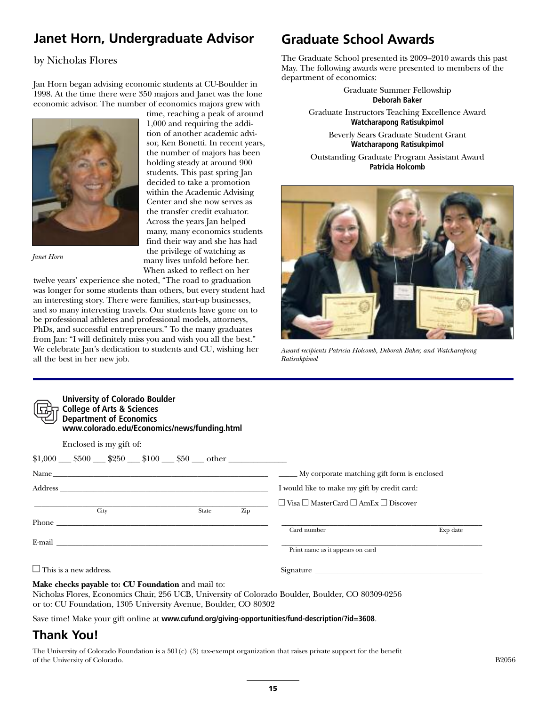### **Janet Horn, Undergraduate Advisor**

#### by Nicholas Flores

Jan Horn began advising economic students at CU-Boulder in 1998. At the time there were 350 majors and Janet was the lone economic advisor. The number of economics majors grew with



*Janet Horn*

time, reaching a peak of around 1,000 and requiring the addition of another academic advisor, Ken Bonetti. In recent years, the number of majors has been holding steady at around 900 students. This past spring Jan decided to take a promotion within the Academic Advising Center and she now serves as the transfer credit evaluator. Across the years Jan helped many, many economics students find their way and she has had the privilege of watching as many lives unfold before her. When asked to reflect on her

twelve years' experience she noted, "The road to graduation was longer for some students than others, but every student had an interesting story. There were families, start-up businesses, and so many interesting travels. Our students have gone on to be professional athletes and professional models, attorneys, PhDs, and successful entrepreneurs." To the many graduates from Jan: "I will definitely miss you and wish you all the best." We celebrate Jan's dedication to students and CU, wishing her all the best in her new job.

### **Graduate School Awards**

The Graduate School presented its 2009–2010 awards this past May. The following awards were presented to members of the department of economics:

> Graduate Summer Fellowship **Deborah Baker**

Graduate Instructors Teaching Excellence Award **Watcharapong Ratisukpimol**

> Beverly Sears Graduate Student Grant **Watcharapong Ratisukpimol**

Outstanding Graduate Program Assistant Award **Patricia Holcomb**



*Award recipients Patricia Holcomb, Deborah Baker, and Watcharapong Ratisukpimol*

| <b>University of Colorado Boulder</b><br><b>College of Arts &amp; Sciences</b><br><b>Department of Economics</b><br>www.colorado.edu/Economics/news/funding.html                                                               |                                                           |          |
|--------------------------------------------------------------------------------------------------------------------------------------------------------------------------------------------------------------------------------|-----------------------------------------------------------|----------|
| Enclosed is my gift of:                                                                                                                                                                                                        |                                                           |          |
| $$1,000$ \$500 \$250 \$100 \$50 other                                                                                                                                                                                          |                                                           |          |
|                                                                                                                                                                                                                                |                                                           |          |
|                                                                                                                                                                                                                                | I would like to make my gift by credit card:              |          |
|                                                                                                                                                                                                                                | $\Box$ Visa $\Box$ MasterCard $\Box$ AmEx $\Box$ Discover |          |
| City<br>State<br>Zip<br>Phone <b>Phone</b>                                                                                                                                                                                     | Card number                                               | Exp date |
| E-mail and the contract of the contract of the contract of the contract of the contract of the contract of the contract of the contract of the contract of the contract of the contract of the contract of the contract of the | Print name as it appears on card                          |          |
| $\Box$ This is a new address.                                                                                                                                                                                                  |                                                           |          |
| Make checks payable to: CU Foundation and mail to:<br>Nicholas Flores, Economics Chair, 256 UCB, University of Colorado Boulder, Boulder, CO 80309-0256<br>or to: CU Foundation, 1305 University Avenue, Boulder, CO 80302     |                                                           |          |

Save time! Make your gift online at **www.cufund.org/giving-opportunities/fund-description/?id=3608**.

### **Thank You!**

The University of Colorado Foundation is a 501(c) (3) tax-exempt organization that raises private support for the benefit of the University of Colorado. B<sub>2056</sub> B<sub>2056</sub>